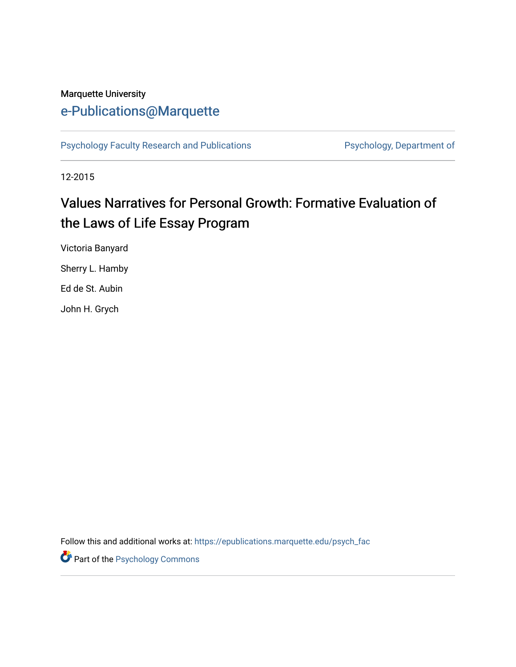# Marquette University

# [e-Publications@Marquette](https://epublications.marquette.edu/)

[Psychology Faculty Research and Publications](https://epublications.marquette.edu/psych_fac) Psychology, Department of

12-2015

# Values Narratives for Personal Growth: Formative Evaluation of the Laws of Life Essay Program

Victoria Banyard Sherry L. Hamby Ed de St. Aubin John H. Grych

Follow this and additional works at: [https://epublications.marquette.edu/psych\\_fac](https://epublications.marquette.edu/psych_fac?utm_source=epublications.marquette.edu%2Fpsych_fac%2F443&utm_medium=PDF&utm_campaign=PDFCoverPages)

**Part of the Psychology Commons**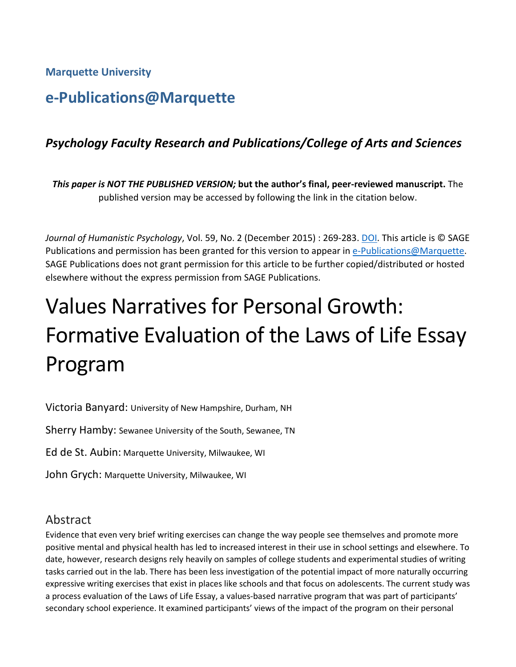**Marquette University**

# **e-Publications@Marquette**

# *Psychology Faculty Research and Publications/College of Arts and Sciences*

*This paper is NOT THE PUBLISHED VERSION;* **but the author's final, peer-reviewed manuscript.** The published version may be accessed by following the link in the citation below.

*Journal of Humanistic Psychology*, Vol. 59, No. 2 (December 2015) : 269-283. [DOI.](https://journals.sagepub.com/doi/10.1177/0022167815618494) This article is © SAGE Publications and permission has been granted for this version to appear in [e-Publications@Marquette.](http://epublications.marquette.edu/) SAGE Publications does not grant permission for this article to be further copied/distributed or hosted elsewhere without the express permission from SAGE Publications.

# Values Narratives for Personal Growth: Formative Evaluation of the Laws of Life Essay Program

Victoria Banyard: University of New Hampshire, Durham, NH

Sherry Hamby: Sewanee University of the South, Sewanee, TN

Ed de St. Aubin: Marquette University, Milwaukee, WI

John Grych: Marquette University, Milwaukee, WI

# Abstract

Evidence that even very brief writing exercises can change the way people see themselves and promote more positive mental and physical health has led to increased interest in their use in school settings and elsewhere. To date, however, research designs rely heavily on samples of college students and experimental studies of writing tasks carried out in the lab. There has been less investigation of the potential impact of more naturally occurring expressive writing exercises that exist in places like schools and that focus on adolescents. The current study was a process evaluation of the Laws of Life Essay, a values-based narrative program that was part of participants' secondary school experience. It examined participants' views of the impact of the program on their personal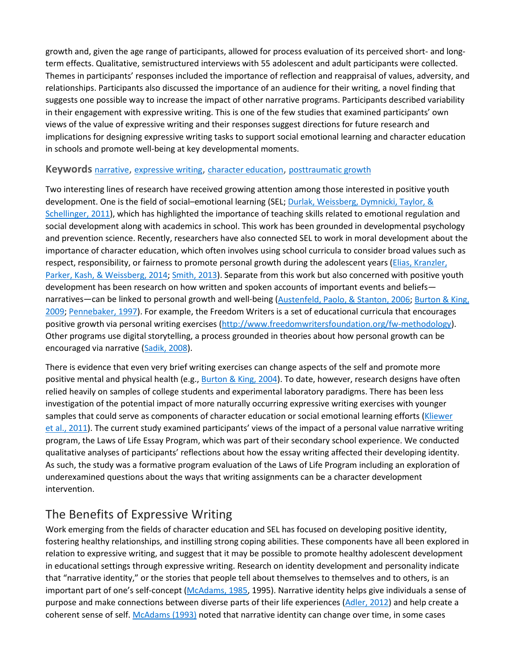growth and, given the age range of participants, allowed for process evaluation of its perceived short- and longterm effects. Qualitative, semistructured interviews with 55 adolescent and adult participants were collected. Themes in participants' responses included the importance of reflection and reappraisal of values, adversity, and relationships. Participants also discussed the importance of an audience for their writing, a novel finding that suggests one possible way to increase the impact of other narrative programs. Participants described variability in their engagement with expressive writing. This is one of the few studies that examined participants' own views of the value of expressive writing and their responses suggest directions for future research and implications for designing expressive writing tasks to support social emotional learning and character education in schools and promote well-being at key developmental moments.

#### **Keywords** [narrative,](https://journals.sagepub.com/keyword/Narrative) [expressive writing,](https://journals.sagepub.com/keyword/Expressive+Writing) [character education,](https://journals.sagepub.com/keyword/Character+Education) [posttraumatic growth](https://journals.sagepub.com/keyword/Posttraumatic+Growth)

Two interesting lines of research have received growing attention among those interested in positive youth development. One is the field of social–emotional learning (SEL; [Durlak, Weissberg, Dymnicki, Taylor, &](https://journals.sagepub.com/doi/10.1177/0022167815618494)  [Schellinger, 2011\)](https://journals.sagepub.com/doi/10.1177/0022167815618494), which has highlighted the importance of teaching skills related to emotional regulation and social development along with academics in school. This work has been grounded in developmental psychology and prevention science. Recently, researchers have also connected SEL to work in moral development about the importance of character education, which often involves using school curricula to consider broad values such as respect, responsibility, or fairness to promote personal growth during the adolescent years (Elias, Kranzler, [Parker, Kash, & Weissberg, 2014;](https://journals.sagepub.com/doi/10.1177/0022167815618494) [Smith, 2013\)](https://journals.sagepub.com/doi/10.1177/0022167815618494). Separate from this work but also concerned with positive youth development has been research on how written and spoken accounts of important events and beliefs narratives—can be linked to personal growth and well-being [\(Austenfeld, Paolo, & Stanton, 2006;](https://journals.sagepub.com/doi/10.1177/0022167815618494) [Burton & King,](https://journals.sagepub.com/doi/10.1177/0022167815618494)  [2009;](https://journals.sagepub.com/doi/10.1177/0022167815618494) [Pennebaker, 1997\)](https://journals.sagepub.com/doi/10.1177/0022167815618494). For example, the Freedom Writers is a set of educational curricula that encourages positive growth via personal writing exercises [\(http://www.freedomwritersfoundation.org/fw-methodology\)](http://www.freedomwritersfoundation.org/fw-methodology). Other programs use digital storytelling, a process grounded in theories about how personal growth can be encouraged via narrative [\(Sadik, 2008\)](https://journals.sagepub.com/doi/10.1177/0022167815618494).

There is evidence that even very brief writing exercises can change aspects of the self and promote more positive mental and physical health (e.g., [Burton & King, 2004\)](https://journals.sagepub.com/doi/10.1177/0022167815618494). To date, however, research designs have often relied heavily on samples of college students and experimental laboratory paradigms. There has been less investigation of the potential impact of more naturally occurring expressive writing exercises with younger samples that could serve as components of character education or social emotional learning efforts (Kliewer [et al., 2011](https://journals.sagepub.com/doi/10.1177/0022167815618494)). The current study examined participants' views of the impact of a personal value narrative writing program, the Laws of Life Essay Program, which was part of their secondary school experience. We conducted qualitative analyses of participants' reflections about how the essay writing affected their developing identity. As such, the study was a formative program evaluation of the Laws of Life Program including an exploration of underexamined questions about the ways that writing assignments can be a character development intervention.

# The Benefits of Expressive Writing

Work emerging from the fields of character education and SEL has focused on developing positive identity, fostering healthy relationships, and instilling strong coping abilities. These components have all been explored in relation to expressive writing, and suggest that it may be possible to promote healthy adolescent development in educational settings through expressive writing. Research on identity development and personality indicate that "narrative identity," or the stories that people tell about themselves to themselves and to others, is an important part of one's self-concept [\(McAdams, 1985,](https://journals.sagepub.com/doi/10.1177/0022167815618494) 1995). Narrative identity helps give individuals a sense of purpose and make connections between diverse parts of their life experiences [\(Adler, 2012\)](https://journals.sagepub.com/doi/10.1177/0022167815618494) and help create a coherent sense of self. [McAdams \(1993\)](https://journals.sagepub.com/doi/10.1177/0022167815618494) noted that narrative identity can change over time, in some cases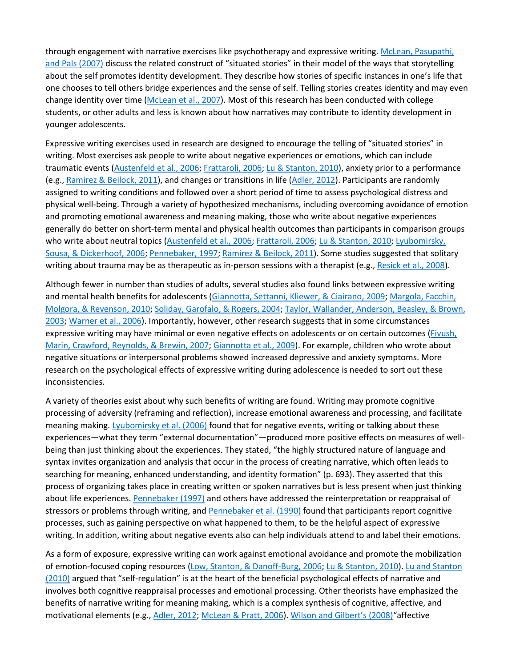through engagement with narrative exercises like psychotherapy and expressive writing. McLean, Pasupathi, [and Pals \(2007\)](https://journals.sagepub.com/doi/10.1177/0022167815618494) discuss the related construct of "situated stories" in their model of the ways that storytelling about the self promotes identity development. They describe how stories of specific instances in one's life that one chooses to tell others bridge experiences and the sense of self. Telling stories creates identity and may even change identity over time ([McLean et al., 2007](https://journals.sagepub.com/doi/10.1177/0022167815618494)). Most of this research has been conducted with college students, or other adults and less is known about how narratives may contribute to identity development in younger adolescents.

Expressive writing exercises used in research are designed to encourage the telling of "situated stories" in writing. Most exercises ask people to write about negative experiences or emotions, which can include traumatic events ([Austenfeld et al., 2006](https://journals.sagepub.com/doi/10.1177/0022167815618494); [Frattaroli, 2006;](https://journals.sagepub.com/doi/10.1177/0022167815618494) [Lu & Stanton, 2010\)](https://journals.sagepub.com/doi/10.1177/0022167815618494), anxiety prior to a performance (e.g., [Ramirez & Beilock, 2011\)](https://journals.sagepub.com/doi/10.1177/0022167815618494), and changes or transitions in life [\(Adler, 2012\)](https://journals.sagepub.com/doi/10.1177/0022167815618494). Participants are randomly assigned to writing conditions and followed over a short period of time to assess psychological distress and physical well-being. Through a variety of hypothesized mechanisms, including overcoming avoidance of emotion and promoting emotional awareness and meaning making, those who write about negative experiences generally do better on short-term mental and physical health outcomes than participants in comparison groups who write about neutral topics ([Austenfeld et al., 2006](https://journals.sagepub.com/doi/10.1177/0022167815618494); [Frattaroli, 2006;](https://journals.sagepub.com/doi/10.1177/0022167815618494) [Lu & Stanton, 2010;](https://journals.sagepub.com/doi/10.1177/0022167815618494) [Lyubomirsky,](https://journals.sagepub.com/doi/10.1177/0022167815618494)  [Sousa, & Dickerhoof, 2006;](https://journals.sagepub.com/doi/10.1177/0022167815618494) [Pennebaker, 1997;](https://journals.sagepub.com/doi/10.1177/0022167815618494) [Ramirez & Beilock, 2011\)](https://journals.sagepub.com/doi/10.1177/0022167815618494). Some studies suggested that solitary writing about trauma may be as therapeutic as in-person sessions with a therapist (e.g., Resick et al., 2008).

Although fewer in number than studies of adults, several studies also found links between expressive writing and mental health benefits for adolescents [\(Giannotta, Settanni, Kliewer, & Ciairano, 2009;](https://journals.sagepub.com/doi/10.1177/0022167815618494) [Margola, Facchin,](https://journals.sagepub.com/doi/10.1177/0022167815618494)  [Molgora, & Revenson, 2010;](https://journals.sagepub.com/doi/10.1177/0022167815618494) [Soliday, Garofalo, & Rogers, 2004;](https://journals.sagepub.com/doi/10.1177/0022167815618494) [Taylor, Wallander, Anderson, Beasley, & Brown,](https://journals.sagepub.com/doi/10.1177/0022167815618494)  [2003;](https://journals.sagepub.com/doi/10.1177/0022167815618494) [Warner et al., 2006](https://journals.sagepub.com/doi/10.1177/0022167815618494)). Importantly, however, other research suggests that in some circumstances expressive writing may have minimal or even negative effects on adolescents or on certain outcomes [\(Fivush,](https://journals.sagepub.com/doi/10.1177/0022167815618494)  [Marin, Crawford, Reynolds, & Brewin, 2007;](https://journals.sagepub.com/doi/10.1177/0022167815618494) [Giannotta et al., 2009](https://journals.sagepub.com/doi/10.1177/0022167815618494)). For example, children who wrote about negative situations or interpersonal problems showed increased depressive and anxiety symptoms. More research on the psychological effects of expressive writing during adolescence is needed to sort out these inconsistencies.

A variety of theories exist about why such benefits of writing are found. Writing may promote cognitive processing of adversity (reframing and reflection), increase emotional awareness and processing, and facilitate meaning making. [Lyubomirsky et al. \(2006\)](https://journals.sagepub.com/doi/10.1177/0022167815618494) found that for negative events, writing or talking about these experiences—what they term "external documentation"—produced more positive effects on measures of wellbeing than just thinking about the experiences. They stated, "the highly structured nature of language and syntax invites organization and analysis that occur in the process of creating narrative, which often leads to searching for meaning, enhanced understanding, and identity formation" (p. 693). They asserted that this process of organizing takes place in creating written or spoken narratives but is less present when just thinking about life experiences. [Pennebaker \(1997\)](https://journals.sagepub.com/doi/10.1177/0022167815618494) and others have addressed the reinterpretation or reappraisal of stressors or problems through writing, and [Pennebaker et al. \(1990\)](https://journals.sagepub.com/doi/10.1177/0022167815618494) found that participants report cognitive processes, such as gaining perspective on what happened to them, to be the helpful aspect of expressive writing. In addition, writing about negative events also can help individuals attend to and label their emotions.

As a form of exposure, expressive writing can work against emotional avoidance and promote the mobilization of emotion-focused coping resources [\(Low, Stanton, & Danoff-Burg, 2006;](https://journals.sagepub.com/doi/10.1177/0022167815618494) [Lu & Stanton, 2010\)](https://journals.sagepub.com/doi/10.1177/0022167815618494). [Lu and Stanton](https://journals.sagepub.com/doi/10.1177/0022167815618494)  [\(2010\)](https://journals.sagepub.com/doi/10.1177/0022167815618494) argued that "self-regulation" is at the heart of the beneficial psychological effects of narrative and involves both cognitive reappraisal processes and emotional processing. Other theorists have emphasized the benefits of narrative writing for meaning making, which is a complex synthesis of cognitive, affective, and motivational elements (e.g., [Adler,](https://journals.sagepub.com/doi/10.1177/0022167815618494) 2012; [McLean & Pratt, 2006\)](https://journals.sagepub.com/doi/10.1177/0022167815618494). [Wilson and Gilbert's \(2008\)"](https://journals.sagepub.com/doi/10.1177/0022167815618494)affective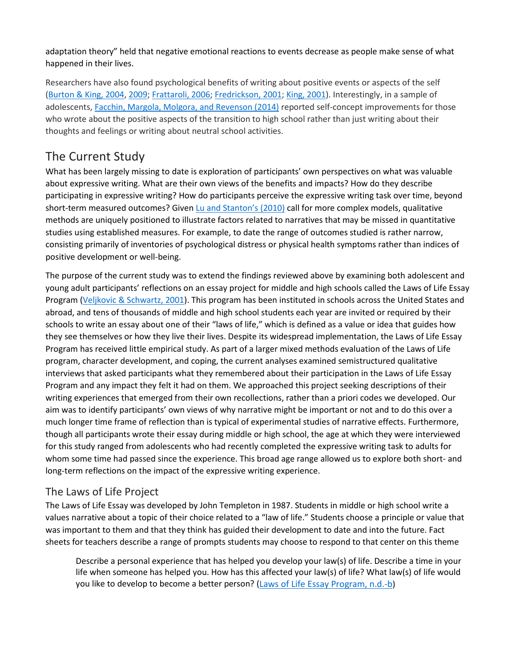adaptation theory" held that negative emotional reactions to events decrease as people make sense of what happened in their lives.

Researchers have also found psychological benefits of writing about positive events or aspects of the self [\(Burton & King, 2004,](https://journals.sagepub.com/doi/10.1177/0022167815618494) [2009;](https://journals.sagepub.com/doi/10.1177/0022167815618494) [Frattaroli, 2006;](https://journals.sagepub.com/doi/10.1177/0022167815618494) [Fredrickson, 2001;](https://journals.sagepub.com/doi/10.1177/0022167815618494) [King, 2001\)](https://journals.sagepub.com/doi/10.1177/0022167815618494). Interestingly, in a sample of adolescents, [Facchin, Margola, Molgora, and Revenson \(2014\)](https://journals.sagepub.com/doi/10.1177/0022167815618494) reported self-concept improvements for those who wrote about the positive aspects of the transition to high school rather than just writing about their thoughts and feelings or writing about neutral school activities.

# The Current Study

What has been largely missing to date is exploration of participants' own perspectives on what was valuable about expressive writing. What are their own views of the benefits and impacts? How do they describe participating in expressive writing? How do participants perceive the expressive writing task over time, beyond short-term measured outcomes? Given [Lu and Stanton's \(2010\)](https://journals.sagepub.com/doi/10.1177/0022167815618494) call for more complex models, qualitative methods are uniquely positioned to illustrate factors related to narratives that may be missed in quantitative studies using established measures. For example, to date the range of outcomes studied is rather narrow, consisting primarily of inventories of psychological distress or physical health symptoms rather than indices of positive development or well-being.

The purpose of the current study was to extend the findings reviewed above by examining both adolescent and young adult participants' reflections on an essay project for middle and high schools called the Laws of Life Essay Program [\(Veljkovic & Schwartz, 2001\)](https://journals.sagepub.com/doi/10.1177/0022167815618494). This program has been instituted in schools across the United States and abroad, and tens of thousands of middle and high school students each year are invited or required by their schools to write an essay about one of their "laws of life," which is defined as a value or idea that guides how they see themselves or how they live their lives. Despite its widespread implementation, the Laws of Life Essay Program has received little empirical study. As part of a larger mixed methods evaluation of the Laws of Life program, character development, and coping, the current analyses examined semistructured qualitative interviews that asked participants what they remembered about their participation in the Laws of Life Essay Program and any impact they felt it had on them. We approached this project seeking descriptions of their writing experiences that emerged from their own recollections, rather than a priori codes we developed. Our aim was to identify participants' own views of why narrative might be important or not and to do this over a much longer time frame of reflection than is typical of experimental studies of narrative effects. Furthermore, though all participants wrote their essay during middle or high school, the age at which they were interviewed for this study ranged from adolescents who had recently completed the expressive writing task to adults for whom some time had passed since the experience. This broad age range allowed us to explore both short- and long-term reflections on the impact of the expressive writing experience.

# The Laws of Life Project

The Laws of Life Essay was developed by John Templeton in 1987. Students in middle or high school write a values narrative about a topic of their choice related to a "law of life." Students choose a principle or value that was important to them and that they think has guided their development to date and into the future. Fact sheets for teachers describe a range of prompts students may choose to respond to that center on this theme

Describe a personal experience that has helped you develop your law(s) of life. Describe a time in your life when someone has helped you. How has this affected your law(s) of life? What law(s) of life would you like to develop to become a better person? [\(Laws of Life Essay Program, n.d.-b\)](https://journals.sagepub.com/doi/10.1177/0022167815618494)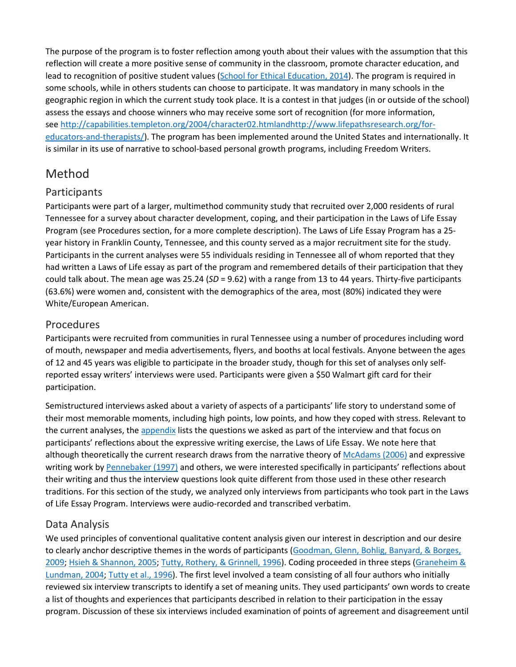The purpose of the program is to foster reflection among youth about their values with the assumption that this reflection will create a more positive sense of community in the classroom, promote character education, and lead to recognition of positive student values [\(School for Ethical Education, 2014\)](https://journals.sagepub.com/doi/10.1177/0022167815618494). The program is required in some schools, while in others students can choose to participate. It was mandatory in many schools in the geographic region in which the current study took place. It is a contest in that judges (in or outside of the school) assess the essays and choose winners who may receive some sort of recognition (for more information, see <http://capabilities.templeton.org/2004/character02.htmland>[http://www.lifepathsresearch.org/for](http://www.lifepathsresearch.org/for-educators-and-therapists/)[educators-and-therapists/\)](http://www.lifepathsresearch.org/for-educators-and-therapists/). The program has been implemented around the United States and internationally. It is similar in its use of narrative to school-based personal growth programs, including Freedom Writers.

# Method

## Participants

Participants were part of a larger, multimethod community study that recruited over 2,000 residents of rural Tennessee for a survey about character development, coping, and their participation in the Laws of Life Essay Program (see Procedures section, for a more complete description). The Laws of Life Essay Program has a 25 year history in Franklin County, Tennessee, and this county served as a major recruitment site for the study. Participants in the current analyses were 55 individuals residing in Tennessee all of whom reported that they had written a Laws of Life essay as part of the program and remembered details of their participation that they could talk about. The mean age was 25.24 (*SD* = 9.62) with a range from 13 to 44 years. Thirty-five participants (63.6%) were women and, consistent with the demographics of the area, most (80%) indicated they were White/European American.

## Procedures

Participants were recruited from communities in rural Tennessee using a number of procedures including word of mouth, newspaper and media advertisements, flyers, and booths at local festivals. Anyone between the ages of 12 and 45 years was eligible to participate in the broader study, though for this set of analyses only selfreported essay writers' interviews were used. Participants were given a \$50 Walmart gift card for their participation.

Semistructured interviews asked about a variety of aspects of a participants' life story to understand some of their most memorable moments, including high points, low points, and how they coped with stress. Relevant to the current analyses, the [appendix](javascript:popRef() lists the questions we asked as part of the interview and that focus on participants' reflections about the expressive writing exercise, the Laws of Life Essay. We note here that although theoretically the current research draws from the narrative theory of [McAdams \(2006\)](https://journals.sagepub.com/doi/10.1177/0022167815618494) and expressive writing work by [Pennebaker \(1997\)](https://journals.sagepub.com/doi/10.1177/0022167815618494) and others, we were interested specifically in participants' reflections about their writing and thus the interview questions look quite different from those used in these other research traditions. For this section of the study, we analyzed only interviews from participants who took part in the Laws of Life Essay Program. Interviews were audio-recorded and transcribed verbatim.

# Data Analysis

We used principles of conventional qualitative content analysis given our interest in description and our desire to clearly anchor descriptive themes in the words of participants (Goodman, Glenn, Bohlig, Banyard, & Borges, [2009;](https://journals.sagepub.com/doi/10.1177/0022167815618494) [Hsieh & Shannon, 2005;](https://journals.sagepub.com/doi/10.1177/0022167815618494) [Tutty, Rothery, & Grinnell, 1996\)](https://journals.sagepub.com/doi/10.1177/0022167815618494). Coding proceeded in three steps [\(Graneheim &](https://journals.sagepub.com/doi/10.1177/0022167815618494)  [Lundman, 2004;](https://journals.sagepub.com/doi/10.1177/0022167815618494) [Tutty et al., 1996](https://journals.sagepub.com/doi/10.1177/0022167815618494)). The first level involved a team consisting of all four authors who initially reviewed six interview transcripts to identify a set of meaning units. They used participants' own words to create a list of thoughts and experiences that participants described in relation to their participation in the essay program. Discussion of these six interviews included examination of points of agreement and disagreement until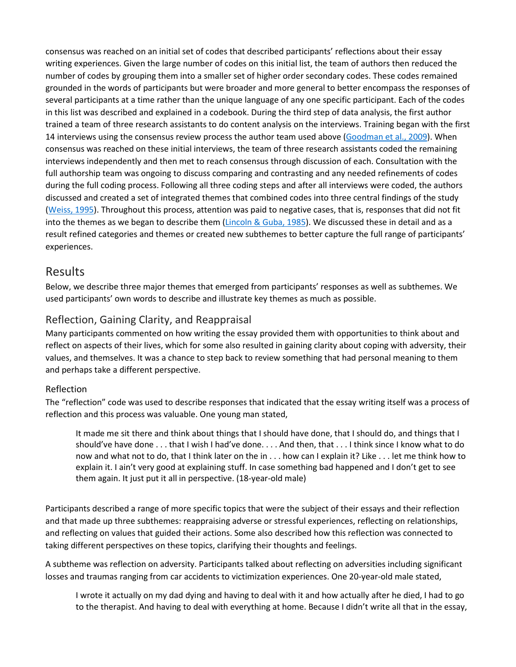consensus was reached on an initial set of codes that described participants' reflections about their essay writing experiences. Given the large number of codes on this initial list, the team of authors then reduced the number of codes by grouping them into a smaller set of higher order secondary codes. These codes remained grounded in the words of participants but were broader and more general to better encompass the responses of several participants at a time rather than the unique language of any one specific participant. Each of the codes in this list was described and explained in a codebook. During the third step of data analysis, the first author trained a team of three research assistants to do content analysis on the interviews. Training began with the first 14 interviews using the consensus review process the author team used above (Goodman et al., 2009). When consensus was reached on these initial interviews, the team of three research assistants coded the remaining interviews independently and then met to reach consensus through discussion of each. Consultation with the full authorship team was ongoing to discuss comparing and contrasting and any needed refinements of codes during the full coding process. Following all three coding steps and after all interviews were coded, the authors discussed and created a set of integrated themes that combined codes into three central findings of the study [\(Weiss, 1995\)](https://journals.sagepub.com/doi/10.1177/0022167815618494). Throughout this process, attention was paid to negative cases, that is, responses that did not fit into the themes as we began to describe them [\(Lincoln & Guba, 1985\)](https://journals.sagepub.com/doi/10.1177/0022167815618494). We discussed these in detail and as a result refined categories and themes or created new subthemes to better capture the full range of participants' experiences.

# Results

Below, we describe three major themes that emerged from participants' responses as well as subthemes. We used participants' own words to describe and illustrate key themes as much as possible.

# Reflection, Gaining Clarity, and Reappraisal

Many participants commented on how writing the essay provided them with opportunities to think about and reflect on aspects of their lives, which for some also resulted in gaining clarity about coping with adversity, their values, and themselves. It was a chance to step back to review something that had personal meaning to them and perhaps take a different perspective.

## Reflection

The "reflection" code was used to describe responses that indicated that the essay writing itself was a process of reflection and this process was valuable. One young man stated,

It made me sit there and think about things that I should have done, that I should do, and things that I should've have done . . . that I wish I had've done. . . . And then, that . . . I think since I know what to do now and what not to do, that I think later on the in . . . how can I explain it? Like . . . let me think how to explain it. I ain't very good at explaining stuff. In case something bad happened and I don't get to see them again. It just put it all in perspective. (18-year-old male)

Participants described a range of more specific topics that were the subject of their essays and their reflection and that made up three subthemes: reappraising adverse or stressful experiences, reflecting on relationships, and reflecting on values that guided their actions. Some also described how this reflection was connected to taking different perspectives on these topics, clarifying their thoughts and feelings.

A subtheme was reflection on adversity. Participants talked about reflecting on adversities including significant losses and traumas ranging from car accidents to victimization experiences. One 20-year-old male stated,

I wrote it actually on my dad dying and having to deal with it and how actually after he died, I had to go to the therapist. And having to deal with everything at home. Because I didn't write all that in the essay,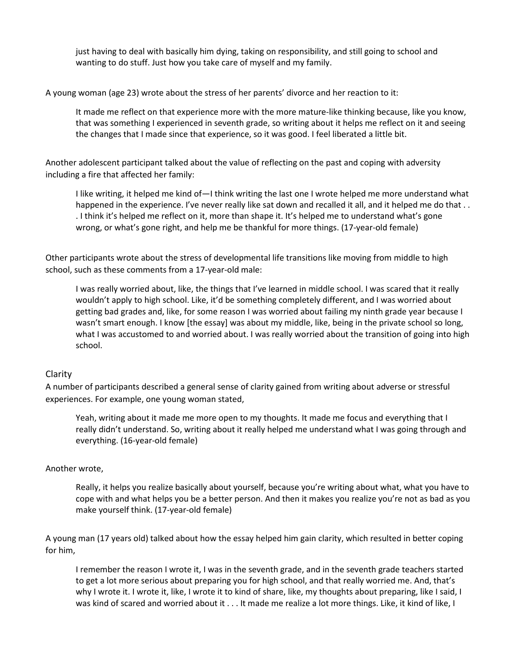just having to deal with basically him dying, taking on responsibility, and still going to school and wanting to do stuff. Just how you take care of myself and my family.

A young woman (age 23) wrote about the stress of her parents' divorce and her reaction to it:

It made me reflect on that experience more with the more mature-like thinking because, like you know, that was something I experienced in seventh grade, so writing about it helps me reflect on it and seeing the changes that I made since that experience, so it was good. I feel liberated a little bit.

Another adolescent participant talked about the value of reflecting on the past and coping with adversity including a fire that affected her family:

I like writing, it helped me kind of—I think writing the last one I wrote helped me more understand what happened in the experience. I've never really like sat down and recalled it all, and it helped me do that . . . I think it's helped me reflect on it, more than shape it. It's helped me to understand what's gone wrong, or what's gone right, and help me be thankful for more things. (17-year-old female)

Other participants wrote about the stress of developmental life transitions like moving from middle to high school, such as these comments from a 17-year-old male:

I was really worried about, like, the things that I've learned in middle school. I was scared that it really wouldn't apply to high school. Like, it'd be something completely different, and I was worried about getting bad grades and, like, for some reason I was worried about failing my ninth grade year because I wasn't smart enough. I know [the essay] was about my middle, like, being in the private school so long, what I was accustomed to and worried about. I was really worried about the transition of going into high school.

#### Clarity

A number of participants described a general sense of clarity gained from writing about adverse or stressful experiences. For example, one young woman stated,

Yeah, writing about it made me more open to my thoughts. It made me focus and everything that I really didn't understand. So, writing about it really helped me understand what I was going through and everything. (16-year-old female)

#### Another wrote,

Really, it helps you realize basically about yourself, because you're writing about what, what you have to cope with and what helps you be a better person. And then it makes you realize you're not as bad as you make yourself think. (17-year-old female)

A young man (17 years old) talked about how the essay helped him gain clarity, which resulted in better coping for him,

I remember the reason I wrote it, I was in the seventh grade, and in the seventh grade teachers started to get a lot more serious about preparing you for high school, and that really worried me. And, that's why I wrote it. I wrote it, like, I wrote it to kind of share, like, my thoughts about preparing, like I said, I was kind of scared and worried about it . . . It made me realize a lot more things. Like, it kind of like, I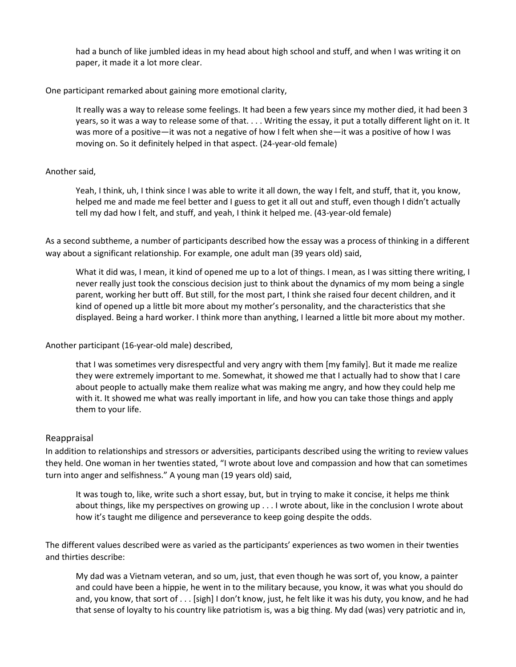had a bunch of like jumbled ideas in my head about high school and stuff, and when I was writing it on paper, it made it a lot more clear.

#### One participant remarked about gaining more emotional clarity,

It really was a way to release some feelings. It had been a few years since my mother died, it had been 3 years, so it was a way to release some of that. . . . Writing the essay, it put a totally different light on it. It was more of a positive—it was not a negative of how I felt when she—it was a positive of how I was moving on. So it definitely helped in that aspect. (24-year-old female)

#### Another said,

Yeah, I think, uh, I think since I was able to write it all down, the way I felt, and stuff, that it, you know, helped me and made me feel better and I guess to get it all out and stuff, even though I didn't actually tell my dad how I felt, and stuff, and yeah, I think it helped me. (43-year-old female)

As a second subtheme, a number of participants described how the essay was a process of thinking in a different way about a significant relationship. For example, one adult man (39 years old) said,

What it did was, I mean, it kind of opened me up to a lot of things. I mean, as I was sitting there writing, I never really just took the conscious decision just to think about the dynamics of my mom being a single parent, working her butt off. But still, for the most part, I think she raised four decent children, and it kind of opened up a little bit more about my mother's personality, and the characteristics that she displayed. Being a hard worker. I think more than anything, I learned a little bit more about my mother.

#### Another participant (16-year-old male) described,

that I was sometimes very disrespectful and very angry with them [my family]. But it made me realize they were extremely important to me. Somewhat, it showed me that I actually had to show that I care about people to actually make them realize what was making me angry, and how they could help me with it. It showed me what was really important in life, and how you can take those things and apply them to your life.

#### Reappraisal

In addition to relationships and stressors or adversities, participants described using the writing to review values they held. One woman in her twenties stated, "I wrote about love and compassion and how that can sometimes turn into anger and selfishness." A young man (19 years old) said,

It was tough to, like, write such a short essay, but, but in trying to make it concise, it helps me think about things, like my perspectives on growing up . . . I wrote about, like in the conclusion I wrote about how it's taught me diligence and perseverance to keep going despite the odds.

The different values described were as varied as the participants' experiences as two women in their twenties and thirties describe:

My dad was a Vietnam veteran, and so um, just, that even though he was sort of, you know, a painter and could have been a hippie, he went in to the military because, you know, it was what you should do and, you know, that sort of . . . [sigh] I don't know, just, he felt like it was his duty, you know, and he had that sense of loyalty to his country like patriotism is, was a big thing. My dad (was) very patriotic and in,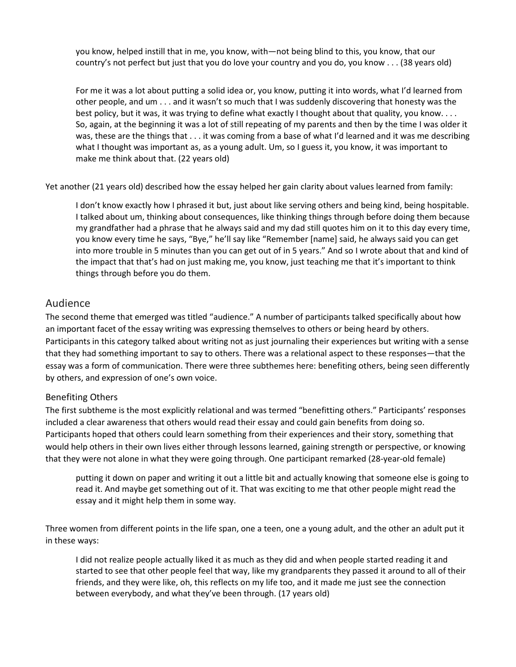you know, helped instill that in me, you know, with—not being blind to this, you know, that our country's not perfect but just that you do love your country and you do, you know . . . (38 years old)

For me it was a lot about putting a solid idea or, you know, putting it into words, what I'd learned from other people, and um . . . and it wasn't so much that I was suddenly discovering that honesty was the best policy, but it was, it was trying to define what exactly I thought about that quality, you know. . . . So, again, at the beginning it was a lot of still repeating of my parents and then by the time I was older it was, these are the things that . . . it was coming from a base of what I'd learned and it was me describing what I thought was important as, as a young adult. Um, so I guess it, you know, it was important to make me think about that. (22 years old)

Yet another (21 years old) described how the essay helped her gain clarity about values learned from family:

I don't know exactly how I phrased it but, just about like serving others and being kind, being hospitable. I talked about um, thinking about consequences, like thinking things through before doing them because my grandfather had a phrase that he always said and my dad still quotes him on it to this day every time, you know every time he says, "Bye," he'll say like "Remember [name] said, he always said you can get into more trouble in 5 minutes than you can get out of in 5 years." And so I wrote about that and kind of the impact that that's had on just making me, you know, just teaching me that it's important to think things through before you do them.

#### Audience

The second theme that emerged was titled "audience." A number of participants talked specifically about how an important facet of the essay writing was expressing themselves to others or being heard by others. Participants in this category talked about writing not as just journaling their experiences but writing with a sense that they had something important to say to others. There was a relational aspect to these responses—that the essay was a form of communication. There were three subthemes here: benefiting others, being seen differently by others, and expression of one's own voice.

#### Benefiting Others

The first subtheme is the most explicitly relational and was termed "benefitting others." Participants' responses included a clear awareness that others would read their essay and could gain benefits from doing so. Participants hoped that others could learn something from their experiences and their story, something that would help others in their own lives either through lessons learned, gaining strength or perspective, or knowing that they were not alone in what they were going through. One participant remarked (28-year-old female)

putting it down on paper and writing it out a little bit and actually knowing that someone else is going to read it. And maybe get something out of it. That was exciting to me that other people might read the essay and it might help them in some way.

Three women from different points in the life span, one a teen, one a young adult, and the other an adult put it in these ways:

I did not realize people actually liked it as much as they did and when people started reading it and started to see that other people feel that way, like my grandparents they passed it around to all of their friends, and they were like, oh, this reflects on my life too, and it made me just see the connection between everybody, and what they've been through. (17 years old)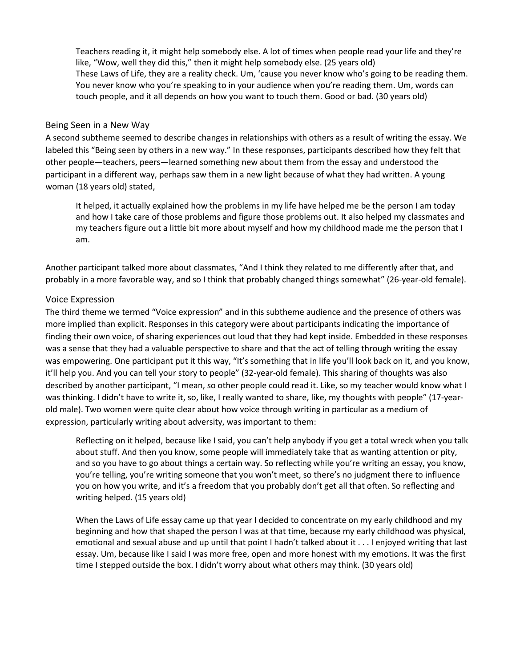Teachers reading it, it might help somebody else. A lot of times when people read your life and they're like, "Wow, well they did this," then it might help somebody else. (25 years old) These Laws of Life, they are a reality check. Um, 'cause you never know who's going to be reading them. You never know who you're speaking to in your audience when you're reading them. Um, words can touch people, and it all depends on how you want to touch them. Good or bad. (30 years old)

#### Being Seen in a New Way

A second subtheme seemed to describe changes in relationships with others as a result of writing the essay. We labeled this "Being seen by others in a new way." In these responses, participants described how they felt that other people—teachers, peers—learned something new about them from the essay and understood the participant in a different way, perhaps saw them in a new light because of what they had written. A young woman (18 years old) stated,

It helped, it actually explained how the problems in my life have helped me be the person I am today and how I take care of those problems and figure those problems out. It also helped my classmates and my teachers figure out a little bit more about myself and how my childhood made me the person that I am.

Another participant talked more about classmates, "And I think they related to me differently after that, and probably in a more favorable way, and so I think that probably changed things somewhat" (26-year-old female).

#### Voice Expression

The third theme we termed "Voice expression" and in this subtheme audience and the presence of others was more implied than explicit. Responses in this category were about participants indicating the importance of finding their own voice, of sharing experiences out loud that they had kept inside. Embedded in these responses was a sense that they had a valuable perspective to share and that the act of telling through writing the essay was empowering. One participant put it this way, "It's something that in life you'll look back on it, and you know, it'll help you. And you can tell your story to people" (32-year-old female). This sharing of thoughts was also described by another participant, "I mean, so other people could read it. Like, so my teacher would know what I was thinking. I didn't have to write it, so, like, I really wanted to share, like, my thoughts with people" (17-yearold male). Two women were quite clear about how voice through writing in particular as a medium of expression, particularly writing about adversity, was important to them:

Reflecting on it helped, because like I said, you can't help anybody if you get a total wreck when you talk about stuff. And then you know, some people will immediately take that as wanting attention or pity, and so you have to go about things a certain way. So reflecting while you're writing an essay, you know, you're telling, you're writing someone that you won't meet, so there's no judgment there to influence you on how you write, and it's a freedom that you probably don't get all that often. So reflecting and writing helped. (15 years old)

When the Laws of Life essay came up that year I decided to concentrate on my early childhood and my beginning and how that shaped the person I was at that time, because my early childhood was physical, emotional and sexual abuse and up until that point I hadn't talked about it . . . I enjoyed writing that last essay. Um, because like I said I was more free, open and more honest with my emotions. It was the first time I stepped outside the box. I didn't worry about what others may think. (30 years old)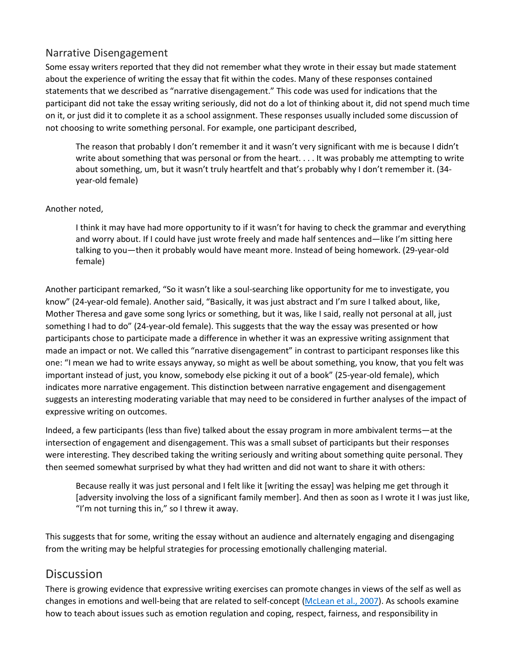## Narrative Disengagement

Some essay writers reported that they did not remember what they wrote in their essay but made statement about the experience of writing the essay that fit within the codes. Many of these responses contained statements that we described as "narrative disengagement." This code was used for indications that the participant did not take the essay writing seriously, did not do a lot of thinking about it, did not spend much time on it, or just did it to complete it as a school assignment. These responses usually included some discussion of not choosing to write something personal. For example, one participant described,

The reason that probably I don't remember it and it wasn't very significant with me is because I didn't write about something that was personal or from the heart. . . . It was probably me attempting to write about something, um, but it wasn't truly heartfelt and that's probably why I don't remember it. (34 year-old female)

#### Another noted,

I think it may have had more opportunity to if it wasn't for having to check the grammar and everything and worry about. If I could have just wrote freely and made half sentences and—like I'm sitting here talking to you—then it probably would have meant more. Instead of being homework. (29-year-old female)

Another participant remarked, "So it wasn't like a soul-searching like opportunity for me to investigate, you know" (24-year-old female). Another said, "Basically, it was just abstract and I'm sure I talked about, like, Mother Theresa and gave some song lyrics or something, but it was, like I said, really not personal at all, just something I had to do" (24-year-old female). This suggests that the way the essay was presented or how participants chose to participate made a difference in whether it was an expressive writing assignment that made an impact or not. We called this "narrative disengagement" in contrast to participant responses like this one: "I mean we had to write essays anyway, so might as well be about something, you know, that you felt was important instead of just, you know, somebody else picking it out of a book" (25-year-old female), which indicates more narrative engagement. This distinction between narrative engagement and disengagement suggests an interesting moderating variable that may need to be considered in further analyses of the impact of expressive writing on outcomes.

Indeed, a few participants (less than five) talked about the essay program in more ambivalent terms—at the intersection of engagement and disengagement. This was a small subset of participants but their responses were interesting. They described taking the writing seriously and writing about something quite personal. They then seemed somewhat surprised by what they had written and did not want to share it with others:

Because really it was just personal and I felt like it [writing the essay] was helping me get through it [adversity involving the loss of a significant family member]. And then as soon as I wrote it I was just like, "I'm not turning this in," so I threw it away.

This suggests that for some, writing the essay without an audience and alternately engaging and disengaging from the writing may be helpful strategies for processing emotionally challenging material.

# **Discussion**

There is growing evidence that expressive writing exercises can promote changes in views of the self as well as changes in emotions and well-being that are related to self-concept (McLean et al., 2007). As schools examine how to teach about issues such as emotion regulation and coping, respect, fairness, and responsibility in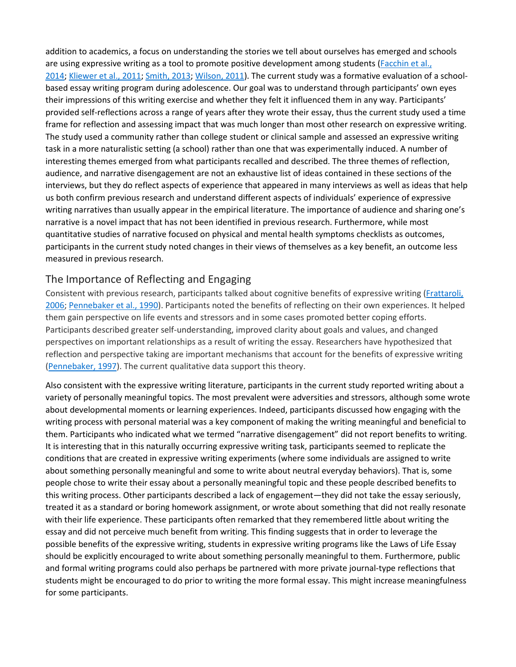addition to academics, a focus on understanding the stories we tell about ourselves has emerged and schools are using expressive writing as a tool to promote positive development among students (Facchin et al., [2014;](https://journals.sagepub.com/doi/10.1177/0022167815618494) [Kliewer et al., 2011](https://journals.sagepub.com/doi/10.1177/0022167815618494); [Smith, 2013;](https://journals.sagepub.com/doi/10.1177/0022167815618494) [Wilson, 2011\)](https://journals.sagepub.com/doi/10.1177/0022167815618494). The current study was a formative evaluation of a schoolbased essay writing program during adolescence. Our goal was to understand through participants' own eyes their impressions of this writing exercise and whether they felt it influenced them in any way. Participants' provided self-reflections across a range of years after they wrote their essay, thus the current study used a time frame for reflection and assessing impact that was much longer than most other research on expressive writing. The study used a community rather than college student or clinical sample and assessed an expressive writing task in a more naturalistic setting (a school) rather than one that was experimentally induced. A number of interesting themes emerged from what participants recalled and described. The three themes of reflection, audience, and narrative disengagement are not an exhaustive list of ideas contained in these sections of the interviews, but they do reflect aspects of experience that appeared in many interviews as well as ideas that help us both confirm previous research and understand different aspects of individuals' experience of expressive writing narratives than usually appear in the empirical literature. The importance of audience and sharing one's narrative is a novel impact that has not been identified in previous research. Furthermore, while most quantitative studies of narrative focused on physical and mental health symptoms checklists as outcomes, participants in the current study noted changes in their views of themselves as a key benefit, an outcome less measured in previous research.

## The Importance of Reflecting and Engaging

Consistent with previous research, participants talked about cognitive benefits of expressive writing [\(Frattaroli,](https://journals.sagepub.com/doi/10.1177/0022167815618494)  [2006;](https://journals.sagepub.com/doi/10.1177/0022167815618494) [Pennebaker et al., 1990](https://journals.sagepub.com/doi/10.1177/0022167815618494)). Participants noted the benefits of reflecting on their own experiences. It helped them gain perspective on life events and stressors and in some cases promoted better coping efforts. Participants described greater self-understanding, improved clarity about goals and values, and changed perspectives on important relationships as a result of writing the essay. Researchers have hypothesized that reflection and perspective taking are important mechanisms that account for the benefits of expressive writing [\(Pennebaker, 1997\)](https://journals.sagepub.com/doi/10.1177/0022167815618494). The current qualitative data support this theory.

Also consistent with the expressive writing literature, participants in the current study reported writing about a variety of personally meaningful topics. The most prevalent were adversities and stressors, although some wrote about developmental moments or learning experiences. Indeed, participants discussed how engaging with the writing process with personal material was a key component of making the writing meaningful and beneficial to them. Participants who indicated what we termed "narrative disengagement" did not report benefits to writing. It is interesting that in this naturally occurring expressive writing task, participants seemed to replicate the conditions that are created in expressive writing experiments (where some individuals are assigned to write about something personally meaningful and some to write about neutral everyday behaviors). That is, some people chose to write their essay about a personally meaningful topic and these people described benefits to this writing process. Other participants described a lack of engagement—they did not take the essay seriously, treated it as a standard or boring homework assignment, or wrote about something that did not really resonate with their life experience. These participants often remarked that they remembered little about writing the essay and did not perceive much benefit from writing. This finding suggests that in order to leverage the possible benefits of the expressive writing, students in expressive writing programs like the Laws of Life Essay should be explicitly encouraged to write about something personally meaningful to them. Furthermore, public and formal writing programs could also perhaps be partnered with more private journal-type reflections that students might be encouraged to do prior to writing the more formal essay. This might increase meaningfulness for some participants.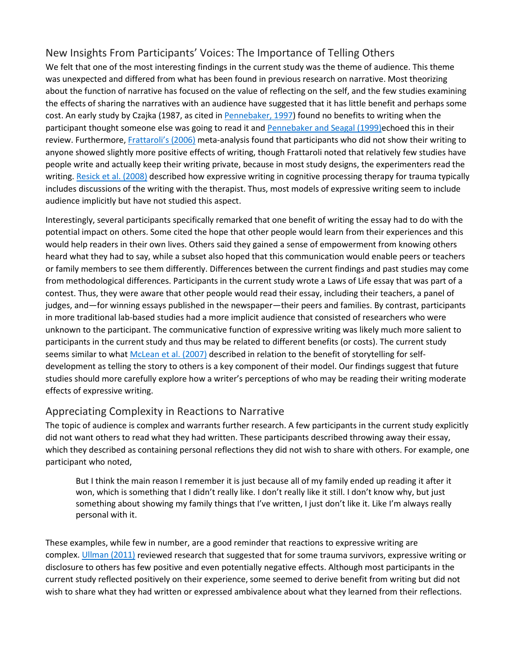# New Insights From Participants' Voices: The Importance of Telling Others

We felt that one of the most interesting findings in the current study was the theme of audience. This theme was unexpected and differed from what has been found in previous research on narrative. Most theorizing about the function of narrative has focused on the value of reflecting on the self, and the few studies examining the effects of sharing the narratives with an audience have suggested that it has little benefit and perhaps some cost. An early study by Czajka (1987, as cited in [Pennebaker, 1997\)](https://journals.sagepub.com/doi/10.1177/0022167815618494) found no benefits to writing when the participant thought someone else was going to read it and [Pennebaker and Seagal \(1999\)e](https://journals.sagepub.com/doi/10.1177/0022167815618494)choed this in their review. Furthermore, [Frattaroli's \(2006\)](https://journals.sagepub.com/doi/10.1177/0022167815618494) meta-analysis found that participants who did not show their writing to anyone showed slightly more positive effects of writing, though Frattaroli noted that relatively few studies have people write and actually keep their writing private, because in most study designs, the experimenters read the writing. [Resick et al. \(2008\)](https://journals.sagepub.com/doi/10.1177/0022167815618494) described how expressive writing in cognitive processing therapy for trauma typically includes discussions of the writing with the therapist. Thus, most models of expressive writing seem to include audience implicitly but have not studied this aspect.

Interestingly, several participants specifically remarked that one benefit of writing the essay had to do with the potential impact on others. Some cited the hope that other people would learn from their experiences and this would help readers in their own lives. Others said they gained a sense of empowerment from knowing others heard what they had to say, while a subset also hoped that this communication would enable peers or teachers or family members to see them differently. Differences between the current findings and past studies may come from methodological differences. Participants in the current study wrote a Laws of Life essay that was part of a contest. Thus, they were aware that other people would read their essay, including their teachers, a panel of judges, and—for winning essays published in the newspaper—their peers and families. By contrast, participants in more traditional lab-based studies had a more implicit audience that consisted of researchers who were unknown to the participant. The communicative function of expressive writing was likely much more salient to participants in the current study and thus may be related to different benefits (or costs). The current study seems similar to what McLean et al. (2007) described in relation to the benefit of storytelling for selfdevelopment as telling the story to others is a key component of their model. Our findings suggest that future studies should more carefully explore how a writer's perceptions of who may be reading their writing moderate effects of expressive writing.

# Appreciating Complexity in Reactions to Narrative

The topic of audience is complex and warrants further research. A few participants in the current study explicitly did not want others to read what they had written. These participants described throwing away their essay, which they described as containing personal reflections they did not wish to share with others. For example, one participant who noted,

But I think the main reason I remember it is just because all of my family ended up reading it after it won, which is something that I didn't really like. I don't really like it still. I don't know why, but just something about showing my family things that I've written, I just don't like it. Like I'm always really personal with it.

These examples, while few in number, are a good reminder that reactions to expressive writing are complex. [Ullman \(2011\)](https://journals.sagepub.com/doi/10.1177/0022167815618494) reviewed research that suggested that for some trauma survivors, expressive writing or disclosure to others has few positive and even potentially negative effects. Although most participants in the current study reflected positively on their experience, some seemed to derive benefit from writing but did not wish to share what they had written or expressed ambivalence about what they learned from their reflections.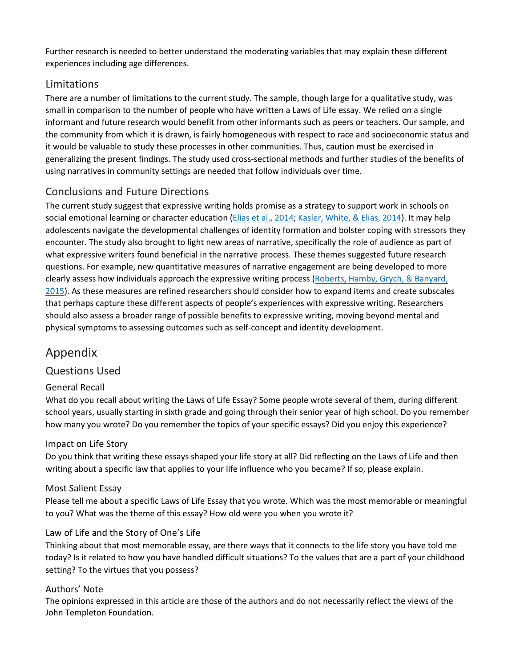Further research is needed to better understand the moderating variables that may explain these different experiences including age differences.

# Limitations

There are a number of limitations to the current study. The sample, though large for a qualitative study, was small in comparison to the number of people who have written a Laws of Life essay. We relied on a single informant and future research would benefit from other informants such as peers or teachers. Our sample, and the community from which it is drawn, is fairly homogeneous with respect to race and socioeconomic status and it would be valuable to study these processes in other communities. Thus, caution must be exercised in generalizing the present findings. The study used cross-sectional methods and further studies of the benefits of using narratives in community settings are needed that follow individuals over time.

# Conclusions and Future Directions

The current study suggest that expressive writing holds promise as a strategy to support work in schools on social emotional learning or character education (Elias et al., 2014; [Kasler, White, & Elias, 2014\)](https://journals.sagepub.com/doi/10.1177/0022167815618494). It may help adolescents navigate the developmental challenges of identity formation and bolster coping with stressors they encounter. The study also brought to light new areas of narrative, specifically the role of audience as part of what expressive writers found beneficial in the narrative process. These themes suggested future research questions. For example, new quantitative measures of narrative engagement are being developed to more clearly assess how individuals approach the expressive writing process [\(Roberts, Hamby, Grych, & Banyard,](https://journals.sagepub.com/doi/10.1177/0022167815618494)  [2015\)](https://journals.sagepub.com/doi/10.1177/0022167815618494). As these measures are refined researchers should consider how to expand items and create subscales that perhaps capture these different aspects of people's experiences with expressive writing. Researchers should also assess a broader range of possible benefits to expressive writing, moving beyond mental and physical symptoms to assessing outcomes such as self-concept and identity development.

# Appendix

# Questions Used

## General Recall

What do you recall about writing the Laws of Life Essay? Some people wrote several of them, during different school years, usually starting in sixth grade and going through their senior year of high school. Do you remember how many you wrote? Do you remember the topics of your specific essays? Did you enjoy this experience?

## Impact on Life Story

Do you think that writing these essays shaped your life story at all? Did reflecting on the Laws of Life and then writing about a specific law that applies to your life influence who you became? If so, please explain.

## Most Salient Essay

Please tell me about a specific Laws of Life Essay that you wrote. Which was the most memorable or meaningful to you? What was the theme of this essay? How old were you when you wrote it?

## Law of Life and the Story of One's Life

Thinking about that most memorable essay, are there ways that it connects to the life story you have told me today? Is it related to how you have handled difficult situations? To the values that are a part of your childhood setting? To the virtues that you possess?

## Authors' Note

The opinions expressed in this article are those of the authors and do not necessarily reflect the views of the John Templeton Foundation.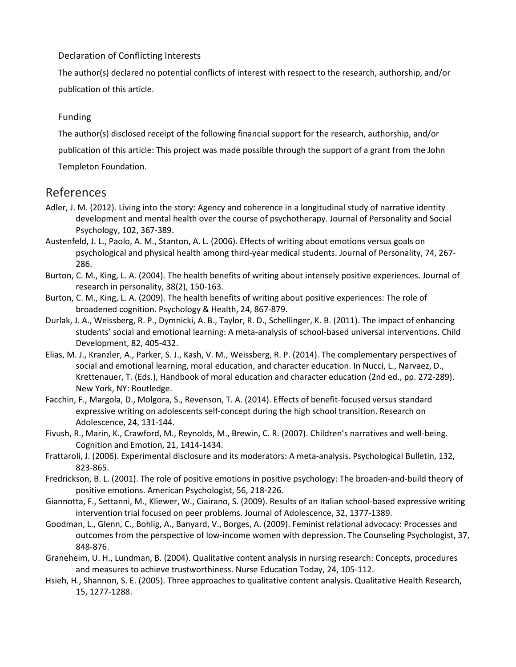#### Declaration of Conflicting Interests

The author(s) declared no potential conflicts of interest with respect to the research, authorship, and/or publication of this article.

#### Funding

The author(s) disclosed receipt of the following financial support for the research, authorship, and/or publication of this article: This project was made possible through the support of a grant from the John Templeton Foundation.

## References

- Adler, J. M. (2012). Living into the story: Agency and coherence in a longitudinal study of narrative identity development and mental health over the course of psychotherapy. Journal of Personality and Social Psychology, 102, 367-389.
- Austenfeld, J. L., Paolo, A. M., Stanton, A. L. (2006). Effects of writing about emotions versus goals on psychological and physical health among third-year medical students. Journal of Personality, 74, 267- 286.
- Burton, C. M., King, L. A. (2004). The health benefits of writing about intensely positive experiences. Journal of research in personality, 38(2), 150-163.
- Burton, C. M., King, L. A. (2009). The health benefits of writing about positive experiences: The role of broadened cognition. Psychology & Health, 24, 867-879.
- Durlak, J. A., Weissberg, R. P., Dymnicki, A. B., Taylor, R. D., Schellinger, K. B. (2011). The impact of enhancing students' social and emotional learning: A meta-analysis of school-based universal interventions. Child Development, 82, 405-432.
- Elias, M. J., Kranzler, A., Parker, S. J., Kash, V. M., Weissberg, R. P. (2014). The complementary perspectives of social and emotional learning, moral education, and character education. In Nucci, L., Narvaez, D., Krettenauer, T. (Eds.), Handbook of moral education and character education (2nd ed., pp. 272-289). New York, NY: Routledge.
- Facchin, F., Margola, D., Molgora, S., Revenson, T. A. (2014). Effects of benefit-focused versus standard expressive writing on adolescents self-concept during the high school transition. Research on Adolescence, 24, 131-144.
- Fivush, R., Marin, K., Crawford, M., Reynolds, M., Brewin, C. R. (2007). Children's narratives and well-being. Cognition and Emotion, 21, 1414-1434.
- Frattaroli, J. (2006). Experimental disclosure and its moderators: A meta-analysis. Psychological Bulletin, 132, 823-865.
- Fredrickson, B. L. (2001). The role of positive emotions in positive psychology: The broaden-and-build theory of positive emotions. American Psychologist, 56, 218-226.
- Giannotta, F., Settanni, M., Kliewer, W., Ciairano, S. (2009). Results of an Italian school-based expressive writing intervention trial focused on peer problems. Journal of Adolescence, 32, 1377-1389.
- Goodman, L., Glenn, C., Bohlig, A., Banyard, V., Borges, A. (2009). Feminist relational advocacy: Processes and outcomes from the perspective of low-income women with depression. The Counseling Psychologist, 37, 848-876.
- Graneheim, U. H., Lundman, B. (2004). Qualitative content analysis in nursing research: Concepts, procedures and measures to achieve trustworthiness. Nurse Education Today, 24, 105-112.
- Hsieh, H., Shannon, S. E. (2005). Three approaches to qualitative content analysis. Qualitative Health Research, 15, 1277-1288.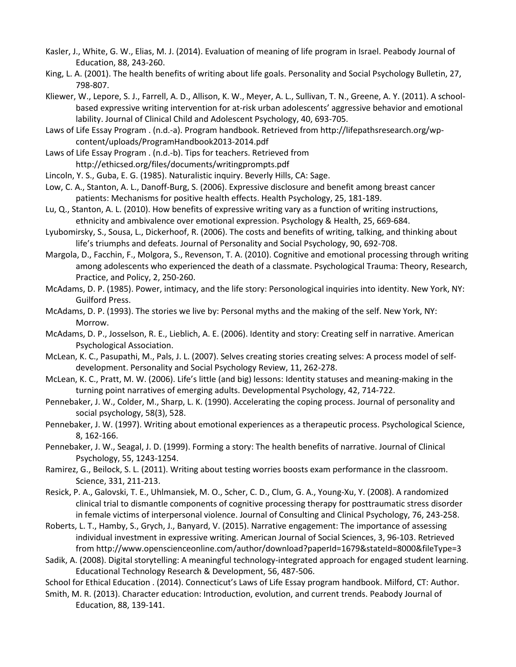- Kasler, J., White, G. W., Elias, M. J. (2014). Evaluation of meaning of life program in Israel. Peabody Journal of Education, 88, 243-260.
- King, L. A. (2001). The health benefits of writing about life goals. Personality and Social Psychology Bulletin, 27, 798-807.
- Kliewer, W., Lepore, S. J., Farrell, A. D., Allison, K. W., Meyer, A. L., Sullivan, T. N., Greene, A. Y. (2011). A schoolbased expressive writing intervention for at-risk urban adolescents' aggressive behavior and emotional lability. Journal of Clinical Child and Adolescent Psychology, 40, 693-705.
- Laws of Life Essay Program . (n.d.-a). Program handbook. Retrieved from http://lifepathsresearch.org/wpcontent/uploads/ProgramHandbook2013-2014.pdf
- Laws of Life Essay Program . (n.d.-b). Tips for teachers. Retrieved from http://ethicsed.org/files/documents/writingprompts.pdf
- Lincoln, Y. S., Guba, E. G. (1985). Naturalistic inquiry. Beverly Hills, CA: Sage.
- Low, C. A., Stanton, A. L., Danoff-Burg, S. (2006). Expressive disclosure and benefit among breast cancer patients: Mechanisms for positive health effects. Health Psychology, 25, 181-189.
- Lu, Q., Stanton, A. L. (2010). How benefits of expressive writing vary as a function of writing instructions, ethnicity and ambivalence over emotional expression. Psychology & Health, 25, 669-684.
- Lyubomirsky, S., Sousa, L., Dickerhoof, R. (2006). The costs and benefits of writing, talking, and thinking about life's triumphs and defeats. Journal of Personality and Social Psychology, 90, 692-708.
- Margola, D., Facchin, F., Molgora, S., Revenson, T. A. (2010). Cognitive and emotional processing through writing among adolescents who experienced the death of a classmate. Psychological Trauma: Theory, Research, Practice, and Policy, 2, 250-260.
- McAdams, D. P. (1985). Power, intimacy, and the life story: Personological inquiries into identity. New York, NY: Guilford Press.
- McAdams, D. P. (1993). The stories we live by: Personal myths and the making of the self. New York, NY: Morrow.
- McAdams, D. P., Josselson, R. E., Lieblich, A. E. (2006). Identity and story: Creating self in narrative. American Psychological Association.
- McLean, K. C., Pasupathi, M., Pals, J. L. (2007). Selves creating stories creating selves: A process model of selfdevelopment. Personality and Social Psychology Review, 11, 262-278.
- McLean, K. C., Pratt, M. W. (2006). Life's little (and big) lessons: Identity statuses and meaning-making in the turning point narratives of emerging adults. Developmental Psychology, 42, 714-722.
- Pennebaker, J. W., Colder, M., Sharp, L. K. (1990). Accelerating the coping process. Journal of personality and social psychology, 58(3), 528.
- Pennebaker, J. W. (1997). Writing about emotional experiences as a therapeutic process. Psychological Science, 8, 162-166.
- Pennebaker, J. W., Seagal, J. D. (1999). Forming a story: The health benefits of narrative. Journal of Clinical Psychology, 55, 1243-1254.
- Ramirez, G., Beilock, S. L. (2011). Writing about testing worries boosts exam performance in the classroom. Science, 331, 211-213.
- Resick, P. A., Galovski, T. E., Uhlmansiek, M. O., Scher, C. D., Clum, G. A., Young-Xu, Y. (2008). A randomized clinical trial to dismantle components of cognitive processing therapy for posttraumatic stress disorder in female victims of interpersonal violence. Journal of Consulting and Clinical Psychology, 76, 243-258.
- Roberts, L. T., Hamby, S., Grych, J., Banyard, V. (2015). Narrative engagement: The importance of assessing individual investment in expressive writing. American Journal of Social Sciences, 3, 96-103. Retrieved from http://www.openscienceonline.com/author/download?paperId=1679&stateId=8000&fileType=3
- Sadik, A. (2008). Digital storytelling: A meaningful technology-integrated approach for engaged student learning. Educational Technology Research & Development, 56, 487-506.
- School for Ethical Education . (2014). Connecticut's Laws of Life Essay program handbook. Milford, CT: Author.
- Smith, M. R. (2013). Character education: Introduction, evolution, and current trends. Peabody Journal of Education, 88, 139-141.